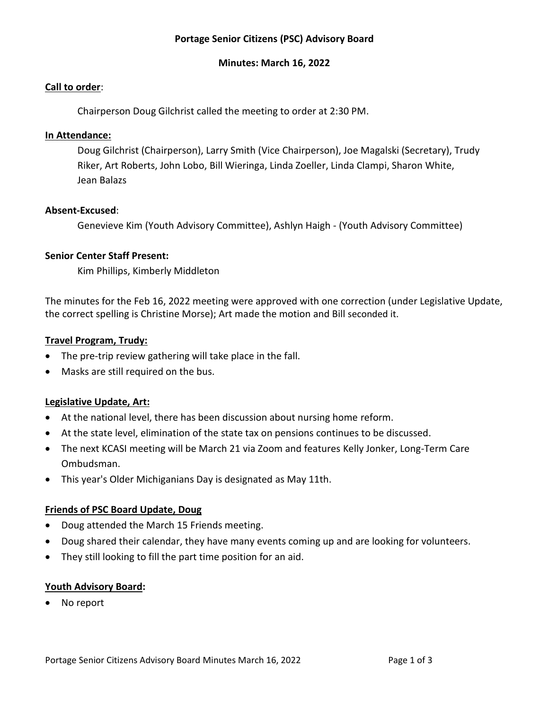# **Portage Senior Citizens (PSC) Advisory Board**

#### **Minutes: March 16, 2022**

#### **Call to order**:

Chairperson Doug Gilchrist called the meeting to order at 2:30 PM.

#### **In Attendance:**

Doug Gilchrist (Chairperson), Larry Smith (Vice Chairperson), Joe Magalski (Secretary), Trudy Riker, Art Roberts, John Lobo, Bill Wieringa, Linda Zoeller, Linda Clampi, Sharon White, Jean Balazs

#### **Absent-Excused**:

Genevieve Kim (Youth Advisory Committee), Ashlyn Haigh - (Youth Advisory Committee)

## **Senior Center Staff Present:**

Kim Phillips, Kimberly Middleton

The minutes for the Feb 16, 2022 meeting were approved with one correction (under Legislative Update, the correct spelling is Christine Morse); Art made the motion and Bill seconded it.

#### **Travel Program, Trudy:**

- The pre-trip review gathering will take place in the fall.
- Masks are still required on the bus.

## **Legislative Update, Art:**

- At the national level, there has been discussion about nursing home reform.
- At the state level, elimination of the state tax on pensions continues to be discussed.
- The next KCASI meeting will be March 21 via Zoom and features Kelly Jonker, Long-Term Care Ombudsman.
- This year's Older Michiganians Day is designated as May 11th.

## **Friends of PSC Board Update, Doug**

- Doug attended the March 15 Friends meeting.
- Doug shared their calendar, they have many events coming up and are looking for volunteers.
- They still looking to fill the part time position for an aid.

## **Youth Advisory Board:**

• No report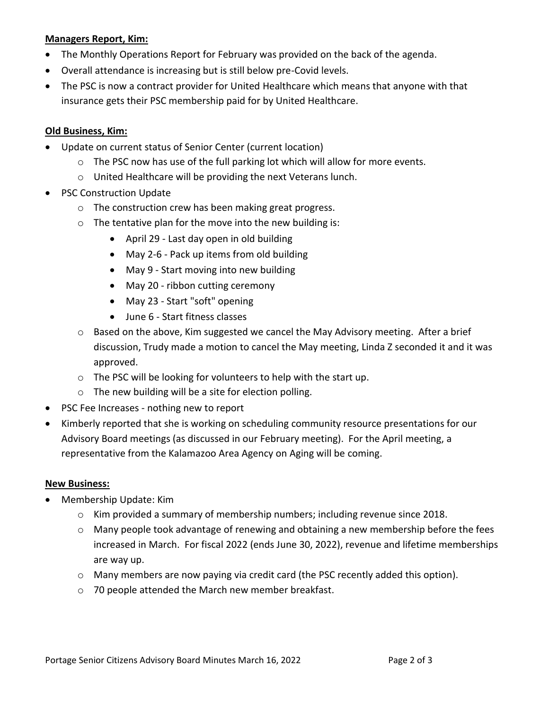## **Managers Report, Kim:**

- The Monthly Operations Report for February was provided on the back of the agenda.
- Overall attendance is increasing but is still below pre-Covid levels.
- The PSC is now a contract provider for United Healthcare which means that anyone with that insurance gets their PSC membership paid for by United Healthcare.

## **Old Business, Kim:**

- Update on current status of Senior Center (current location)
	- o The PSC now has use of the full parking lot which will allow for more events.
	- o United Healthcare will be providing the next Veterans lunch.
- PSC Construction Update
	- o The construction crew has been making great progress.
	- o The tentative plan for the move into the new building is:
		- April 29 Last day open in old building
		- May 2-6 Pack up items from old building
		- May 9 Start moving into new building
		- May 20 ribbon cutting ceremony
		- May 23 Start "soft" opening
		- June 6 Start fitness classes
	- o Based on the above, Kim suggested we cancel the May Advisory meeting. After a brief discussion, Trudy made a motion to cancel the May meeting, Linda Z seconded it and it was approved.
	- o The PSC will be looking for volunteers to help with the start up.
	- o The new building will be a site for election polling.
- PSC Fee Increases nothing new to report
- Kimberly reported that she is working on scheduling community resource presentations for our Advisory Board meetings (as discussed in our February meeting). For the April meeting, a representative from the Kalamazoo Area Agency on Aging will be coming.

## **New Business:**

- Membership Update: Kim
	- $\circ$  Kim provided a summary of membership numbers; including revenue since 2018.
	- $\circ$  Many people took advantage of renewing and obtaining a new membership before the fees increased in March. For fiscal 2022 (ends June 30, 2022), revenue and lifetime memberships are way up.
	- o Many members are now paying via credit card (the PSC recently added this option).
	- o 70 people attended the March new member breakfast.